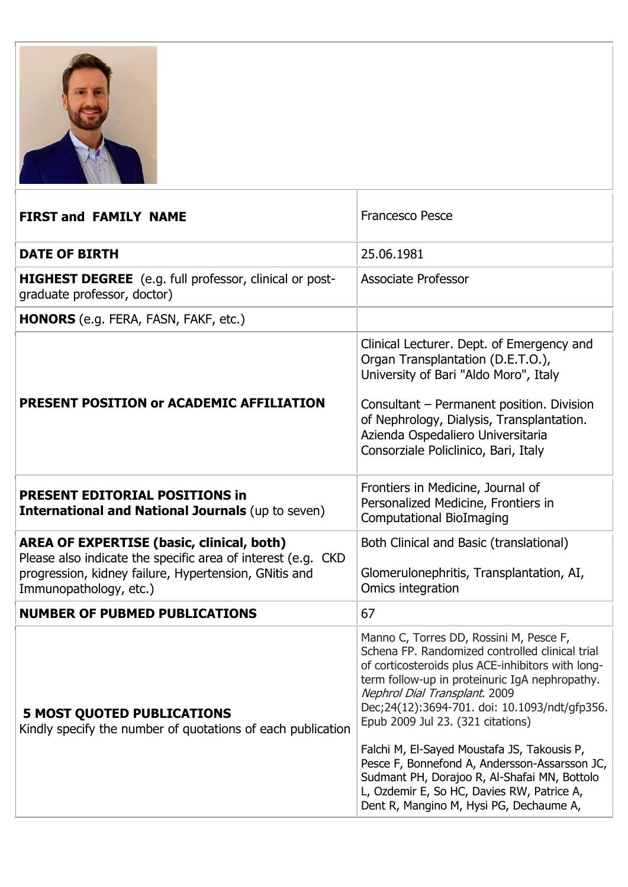

| <b>FIRST and FAMILY NAME</b>                                                                                                                                                                        | <b>Francesco Pesce</b>                                                                                                                                                                                                                                                                                                                                                                                                                                                                                                                                            |
|-----------------------------------------------------------------------------------------------------------------------------------------------------------------------------------------------------|-------------------------------------------------------------------------------------------------------------------------------------------------------------------------------------------------------------------------------------------------------------------------------------------------------------------------------------------------------------------------------------------------------------------------------------------------------------------------------------------------------------------------------------------------------------------|
| <b>DATE OF BIRTH</b>                                                                                                                                                                                | 25.06.1981                                                                                                                                                                                                                                                                                                                                                                                                                                                                                                                                                        |
| <b>HIGHEST DEGREE</b> (e.g. full professor, clinical or post-<br>graduate professor, doctor)                                                                                                        | <b>Associate Professor</b>                                                                                                                                                                                                                                                                                                                                                                                                                                                                                                                                        |
| HONORS (e.g. FERA, FASN, FAKF, etc.)                                                                                                                                                                |                                                                                                                                                                                                                                                                                                                                                                                                                                                                                                                                                                   |
| PRESENT POSITION or ACADEMIC AFFILIATION                                                                                                                                                            | Clinical Lecturer. Dept. of Emergency and<br>Organ Transplantation (D.E.T.O.),<br>University of Bari "Aldo Moro", Italy<br>Consultant - Permanent position. Division<br>of Nephrology, Dialysis, Transplantation.<br>Azienda Ospedaliero Universitaria                                                                                                                                                                                                                                                                                                            |
|                                                                                                                                                                                                     | Consorziale Policlinico, Bari, Italy                                                                                                                                                                                                                                                                                                                                                                                                                                                                                                                              |
| <b>PRESENT EDITORIAL POSITIONS in</b><br><b>International and National Journals (up to seven)</b>                                                                                                   | Frontiers in Medicine, Journal of<br>Personalized Medicine, Frontiers in<br><b>Computational BioImaging</b>                                                                                                                                                                                                                                                                                                                                                                                                                                                       |
| <b>AREA OF EXPERTISE (basic, clinical, both)</b><br>Please also indicate the specific area of interest (e.g. CKD<br>progression, kidney failure, Hypertension, GNitis and<br>Immunopathology, etc.) | Both Clinical and Basic (translational)<br>Glomerulonephritis, Transplantation, AI,<br>Omics integration                                                                                                                                                                                                                                                                                                                                                                                                                                                          |
| <b>NUMBER OF PUBMED PUBLICATIONS</b>                                                                                                                                                                | 67                                                                                                                                                                                                                                                                                                                                                                                                                                                                                                                                                                |
| <b>5 MOST QUOTED PUBLICATIONS</b><br>Kindly specify the number of quotations of each publication                                                                                                    | Manno C, Torres DD, Rossini M, Pesce F,<br>Schena FP, Randomized controlled clinical trial<br>of corticosteroids plus ACE-inhibitors with long-<br>term follow-up in proteinuric IgA nephropathy.<br>Nephrol Dial Transplant. 2009<br>Dec;24(12):3694-701. doi: 10.1093/ndt/gfp356.<br>Epub 2009 Jul 23. (321 citations)<br>Falchi M, El-Sayed Moustafa JS, Takousis P,<br>Pesce F, Bonnefond A, Andersson-Assarsson JC,<br>Sudmant PH, Dorajoo R, Al-Shafai MN, Bottolo<br>L, Ozdemir E, So HC, Davies RW, Patrice A,<br>Dent R, Mangino M, Hysi PG, Dechaume A, |